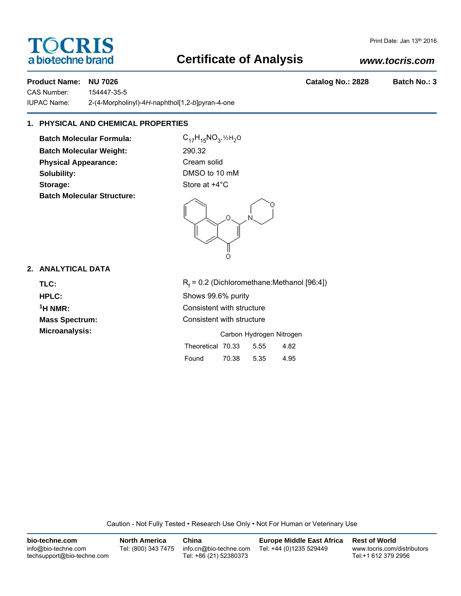# **TOCRIS** a biotechne brand

# **Certificate of Analysis**

## *www.tocris.com*

Print Date: Jan 13th 2016

### **Product Name: NU 7026 Catalog No.: 2828 Batch No.: 3**

CAS Number: 154447-35-5 IUPAC Name: 2-(4-Morpholinyl)-4*H*-naphthol[1,2-*b*]pyran-4-one

# **1. PHYSICAL AND CHEMICAL PROPERTIES**

**Batch Molecular Formula:** C<sub>17</sub>H<sub>15</sub>NO<sub>3</sub>.<sup>12H<sub>2</sub>O</sup> **Batch Molecular Weight:** 290.32 **Physical Appearance:** Cream solid **Solubility:** DMSO to 10 mM **Storage:** Store at  $+4^{\circ}$ C **Batch Molecular Structure:**

Ω Ö

### **2. ANALYTICAL DATA**

TLC: R<sub>f</sub>

 $R_f$  = 0.2 (Dichloromethane:Methanol [96:4]) **HPLC:** Shows 99.6% purity **1H NMR:** Consistent with structure **Mass Spectrum:** Consistent with structure **Microanalysis:** Carbon Hydrogen Nitrogen Theoretical 70.33 5.55 4.82 Found 70.38 5.35 4.95

Caution - Not Fully Tested • Research Use Only • Not For Human or Veterinary Use

| bio-techne.com                                    | <b>North America</b> | China                                            | <b>Europe Middle East Africa</b> | <b>Rest of World</b>                               |
|---------------------------------------------------|----------------------|--------------------------------------------------|----------------------------------|----------------------------------------------------|
| info@bio-techne.com<br>techsupport@bio-techne.com | Tel: (800) 343 7475  | info.cn@bio-techne.com<br>Tel: +86 (21) 52380373 | Tel: +44 (0)1235 529449          | www.tocris.com/distributors<br>Tel:+1 612 379 2956 |